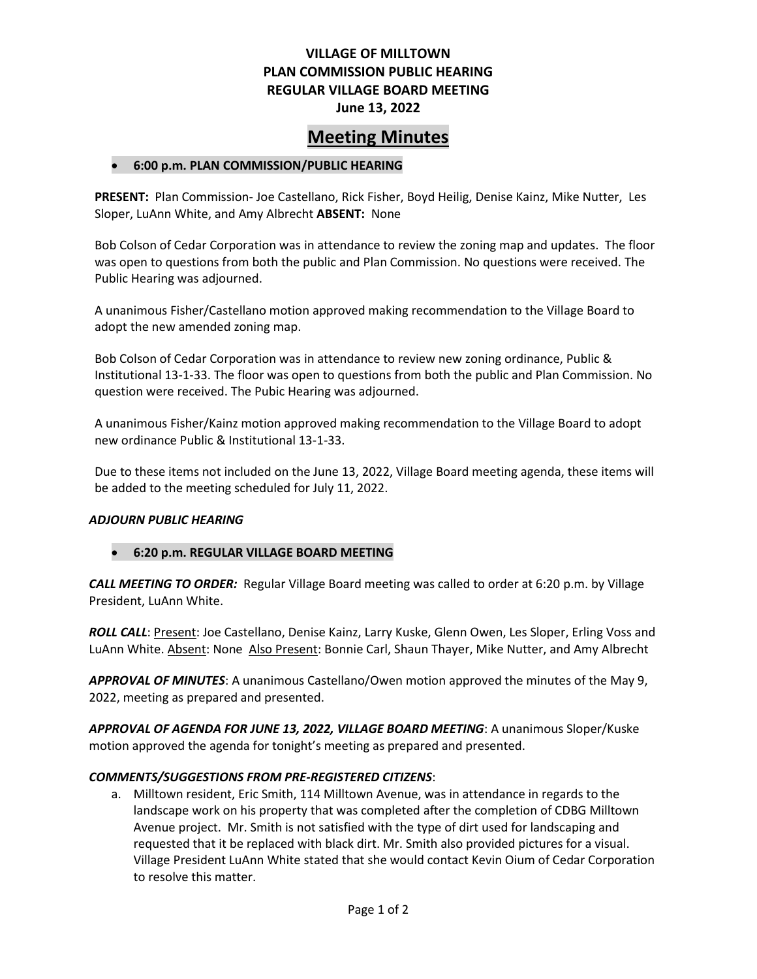## **VILLAGE OF MILLTOWN PLAN COMMISSION PUBLIC HEARING REGULAR VILLAGE BOARD MEETING June 13, 2022**

# **Meeting Minutes**

## • **6:00 p.m. PLAN COMMISSION/PUBLIC HEARING**

**PRESENT:** Plan Commission- Joe Castellano, Rick Fisher, Boyd Heilig, Denise Kainz, Mike Nutter, Les Sloper, LuAnn White, and Amy Albrecht **ABSENT:** None

Bob Colson of Cedar Corporation was in attendance to review the zoning map and updates. The floor was open to questions from both the public and Plan Commission. No questions were received. The Public Hearing was adjourned.

A unanimous Fisher/Castellano motion approved making recommendation to the Village Board to adopt the new amended zoning map.

Bob Colson of Cedar Corporation was in attendance to review new zoning ordinance, Public & Institutional 13-1-33. The floor was open to questions from both the public and Plan Commission. No question were received. The Pubic Hearing was adjourned.

A unanimous Fisher/Kainz motion approved making recommendation to the Village Board to adopt new ordinance Public & Institutional 13-1-33.

Due to these items not included on the June 13, 2022, Village Board meeting agenda, these items will be added to the meeting scheduled for July 11, 2022.

## *ADJOURN PUBLIC HEARING*

## • **6:20 p.m. REGULAR VILLAGE BOARD MEETING**

*CALL MEETING TO ORDER:* Regular Village Board meeting was called to order at 6:20 p.m. by Village President, LuAnn White.

*ROLL CALL*: Present: Joe Castellano, Denise Kainz, Larry Kuske, Glenn Owen, Les Sloper, Erling Voss and LuAnn White. Absent: None Also Present: Bonnie Carl, Shaun Thayer, Mike Nutter, and Amy Albrecht

*APPROVAL OF MINUTES*: A unanimous Castellano/Owen motion approved the minutes of the May 9, 2022, meeting as prepared and presented.

*APPROVAL OF AGENDA FOR JUNE 13, 2022, VILLAGE BOARD MEETING*: A unanimous Sloper/Kuske motion approved the agenda for tonight's meeting as prepared and presented.

## *COMMENTS/SUGGESTIONS FROM PRE-REGISTERED CITIZENS*:

a. Milltown resident, Eric Smith, 114 Milltown Avenue, was in attendance in regards to the landscape work on his property that was completed after the completion of CDBG Milltown Avenue project. Mr. Smith is not satisfied with the type of dirt used for landscaping and requested that it be replaced with black dirt. Mr. Smith also provided pictures for a visual. Village President LuAnn White stated that she would contact Kevin Oium of Cedar Corporation to resolve this matter.